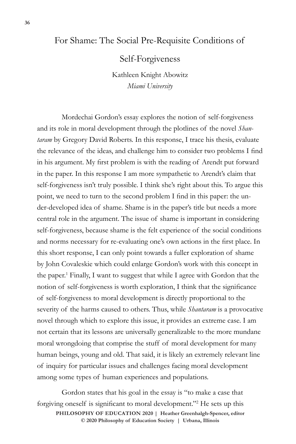## For Shame: The Social Pre-Requisite Conditions of

Self-Forgiveness

Kathleen Knight Abowitz *Miami University*

Mordechai Gordon's essay explores the notion of self-forgiveness and its role in moral development through the plotlines of the novel *Shantaram* by Gregory David Roberts. In this response, I trace his thesis, evaluate the relevance of the ideas, and challenge him to consider two problems I find in his argument. My first problem is with the reading of Arendt put forward in the paper. In this response I am more sympathetic to Arendt's claim that self-forgiveness isn't truly possible. I think she's right about this. To argue this point, we need to turn to the second problem I find in this paper: the under-developed idea of shame. Shame is in the paper's title but needs a more central role in the argument. The issue of shame is important in considering self-forgiveness, because shame is the felt experience of the social conditions and norms necessary for re-evaluating one's own actions in the first place. In this short response, I can only point towards a fuller exploration of shame by John Covaleskie which could enlarge Gordon's work with this concept in the paper.<sup>1</sup> Finally, I want to suggest that while I agree with Gordon that the notion of self-forgiveness is worth exploration, I think that the significance of self-forgiveness to moral development is directly proportional to the severity of the harms caused to others. Thus, while *Shantaram* is a provocative novel through which to explore this issue, it provides an extreme case. I am not certain that its lessons are universally generalizable to the more mundane moral wrongdoing that comprise the stuff of moral development for many human beings, young and old. That said, it is likely an extremely relevant line of inquiry for particular issues and challenges facing moral development among some types of human experiences and populations.

**PHILOSOPHY OF EDUCATION 2020 | Heather Greenhalgh-Spencer, editor © 2020 Philosophy of Education Society | Urbana, Illinois** Gordon states that his goal in the essay is "to make a case that forgiving oneself is significant to moral development."<sup>2</sup> He sets up this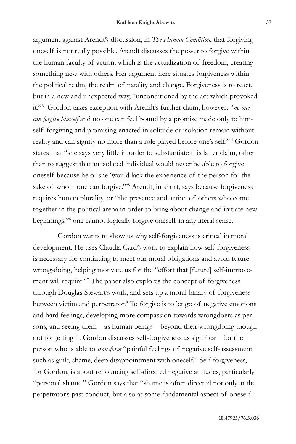argument against Arendt's discussion, in *The Human Condition*, that forgiving oneself is not really possible. Arendt discusses the power to forgive within the human faculty of action, which is the actualization of freedom, creating something new with others. Her argument here situates forgiveness within the political realm, the realm of natality and change. Forgiveness is to react, but in a new and unexpected way, "unconditioned by the act which provoked it."<sup>3</sup> Gordon takes exception with Arendt's further claim, however: "*no one can forgive himself* and no one can feel bound by a promise made only to himself; forgiving and promising enacted in solitude or isolation remain without reality and can signify no more than a role played before one's self."<sup>4</sup> Gordon states that "she says very little in order to substantiate this latter claim, other than to suggest that an isolated individual would never be able to forgive oneself because he or she 'would lack the experience of the person for the sake of whom one can forgive."<sup>55</sup> Arendt, in short, says because forgiveness requires human plurality, or "the presence and action of others who come together in the political arena in order to bring about change and initiate new beginnings,"<sup>6</sup> one cannot logically forgive oneself in any literal sense.

Gordon wants to show us why self-forgiveness is critical in moral development. He uses Claudia Card's work to explain how self-forgiveness is necessary for continuing to meet our moral obligations and avoid future wrong-doing, helping motivate us for the "effort that [future] self-improvement will require."<sup>7</sup> The paper also explores the concept of forgiveness through Douglas Stewart's work, and sets up a moral binary of forgiveness between victim and perpetrator.<sup>8</sup> To forgive is to let go of negative emotions and hard feelings, developing more compassion towards wrongdoers as persons, and seeing them—as human beings—beyond their wrongdoing though not forgetting it. Gordon discusses self-forgiveness as significant for the person who is able to *transform* "painful feelings of negative self-assessment such as guilt, shame, deep disappointment with oneself." Self-forgiveness, for Gordon, is about renouncing self-directed negative attitudes, particularly "personal shame." Gordon says that "shame is often directed not only at the perpetrator's past conduct, but also at some fundamental aspect of oneself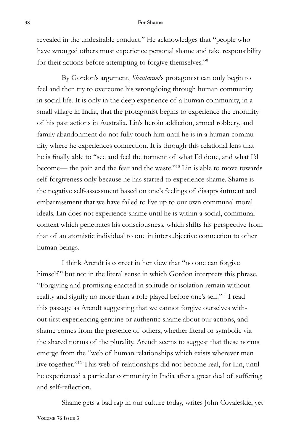## **38 For Shame**

revealed in the undesirable conduct." He acknowledges that "people who have wronged others must experience personal shame and take responsibility for their actions before attempting to forgive themselves."<sup>9</sup>

By Gordon's argument, *Shantaram*'s protagonist can only begin to feel and then try to overcome his wrongdoing through human community in social life. It is only in the deep experience of a human community, in a small village in India, that the protagonist begins to experience the enormity of his past actions in Australia. Lin's heroin addiction, armed robbery, and family abandonment do not fully touch him until he is in a human community where he experiences connection. It is through this relational lens that he is finally able to "see and feel the torment of what I'd done, and what I'd become— the pain and the fear and the waste."10 Lin is able to move towards self-forgiveness only because he has started to experience shame. Shame is the negative self-assessment based on one's feelings of disappointment and embarrassment that we have failed to live up to our own communal moral ideals. Lin does not experience shame until he is within a social, communal context which penetrates his consciousness, which shifts his perspective from that of an atomistic individual to one in intersubjective connection to other human beings.

I think Arendt is correct in her view that "no one can forgive himself" but not in the literal sense in which Gordon interprets this phrase. "Forgiving and promising enacted in solitude or isolation remain without reality and signify no more than a role played before one's self."11 I read this passage as Arendt suggesting that we cannot forgive ourselves without first experiencing genuine or authentic shame about our actions, and shame comes from the presence of others, whether literal or symbolic via the shared norms of the plurality. Arendt seems to suggest that these norms emerge from the "web of human relationships which exists wherever men live together."12 This web of relationships did not become real, for Lin, until he experienced a particular community in India after a great deal of suffering and self-reflection.

**Volume 76 Issue 3** Shame gets a bad rap in our culture today, writes John Covaleskie, yet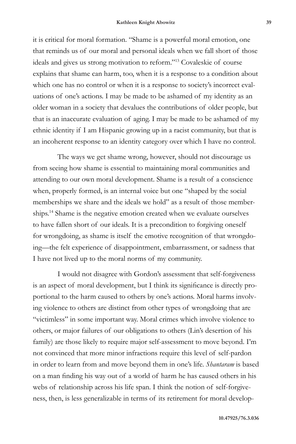it is critical for moral formation. "Shame is a powerful moral emotion, one that reminds us of our moral and personal ideals when we fall short of those ideals and gives us strong motivation to reform."13 Covaleskie of course explains that shame can harm, too, when it is a response to a condition about which one has no control or when it is a response to society's incorrect evaluations of one's actions. I may be made to be ashamed of my identity as an older woman in a society that devalues the contributions of older people, but that is an inaccurate evaluation of aging. I may be made to be ashamed of my ethnic identity if I am Hispanic growing up in a racist community, but that is an incoherent response to an identity category over which I have no control.

The ways we get shame wrong, however, should not discourage us from seeing how shame is essential to maintaining moral communities and attending to our own moral development. Shame is a result of a conscience when, properly formed, is an internal voice but one "shaped by the social memberships we share and the ideals we hold" as a result of those memberships.14 Shame is the negative emotion created when we evaluate ourselves to have fallen short of our ideals. It is a precondition to forgiving oneself for wrongdoing, as shame is itself the emotive recognition of that wrongdoing—the felt experience of disappointment, embarrassment, or sadness that I have not lived up to the moral norms of my community.

I would not disagree with Gordon's assessment that self-forgiveness is an aspect of moral development, but I think its significance is directly proportional to the harm caused to others by one's actions. Moral harms involving violence to others are distinct from other types of wrongdoing that are "victimless" in some important way. Moral crimes which involve violence to others, or major failures of our obligations to others (Lin's desertion of his family) are those likely to require major self-assessment to move beyond. I'm not convinced that more minor infractions require this level of self-pardon in order to learn from and move beyond them in one's life. *Shantaram* is based on a man finding his way out of a world of harm he has caused others in his webs of relationship across his life span. I think the notion of self-forgiveness, then, is less generalizable in terms of its retirement for moral develop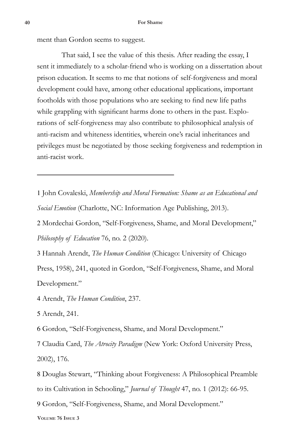ment than Gordon seems to suggest.

That said, I see the value of this thesis. After reading the essay, I sent it immediately to a scholar-friend who is working on a dissertation about prison education. It seems to me that notions of self-forgiveness and moral development could have, among other educational applications, important footholds with those populations who are seeking to find new life paths while grappling with significant harms done to others in the past. Explorations of self-forgiveness may also contribute to philosophical analysis of anti-racism and whiteness identities, wherein one's racial inheritances and privileges must be negotiated by those seeking forgiveness and redemption in anti-racist work.

1 John Covaleski, *Membership and Moral Formation: Shame as an Educational and Social Emotion* (Charlotte, NC: Information Age Publishing, 2013).

2 Mordechai Gordon, "Self-Forgiveness, Shame, and Moral Development," *Philosophy of Education* 76, no. 2 (2020).

3 Hannah Arendt, *The Human Condition* (Chicago: University of Chicago Press, 1958), 241, quoted in Gordon, "Self-Forgiveness, Shame, and Moral Development."

4 Arendt, *The Human Condition*, 237.

5 Arendt, 241.

6 Gordon, "Self-Forgiveness, Shame, and Moral Development."

7 Claudia Card, *The Atrocity Paradigm* (New York: Oxford University Press, 2002), 176.

8 Douglas Stewart, "Thinking about Forgiveness: A Philosophical Preamble to its Cultivation in Schooling," *Journal of Thought* 47, no. 1 (2012): 66-95.

9 Gordon, "Self-Forgiveness, Shame, and Moral Development."

**Volume 76 Issue 3**